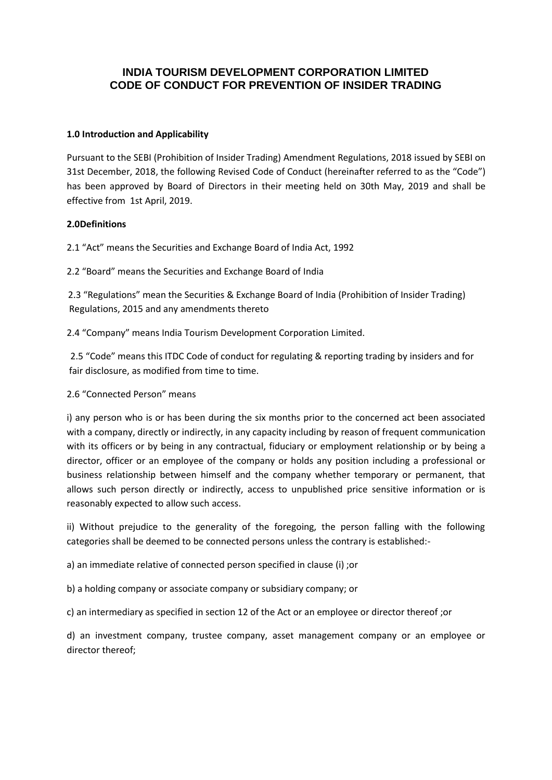## **INDIA TOURISM DEVELOPMENT CORPORATION LIMITED CODE OF CONDUCT FOR PREVENTION OF INSIDER TRADING**

## **1.0 Introduction and Applicability**

Pursuant to the SEBI (Prohibition of Insider Trading) Amendment Regulations, 2018 issued by SEBI on 31st December, 2018, the following Revised Code of Conduct (hereinafter referred to as the "Code") has been approved by Board of Directors in their meeting held on 30th May, 2019 and shall be effective from 1st April, 2019.

## **2.0Definitions**

2.1 "Act" means the Securities and Exchange Board of India Act, 1992

2.2 "Board" means the Securities and Exchange Board of India

 2.3 "Regulations" mean the Securities & Exchange Board of India (Prohibition of Insider Trading) Regulations, 2015 and any amendments thereto

2.4 "Company" means India Tourism Development Corporation Limited.

 2.5 "Code" means this ITDC Code of conduct for regulating & reporting trading by insiders and for fair disclosure, as modified from time to time.

## 2.6 "Connected Person" means

i) any person who is or has been during the six months prior to the concerned act been associated with a company, directly or indirectly, in any capacity including by reason of frequent communication with its officers or by being in any contractual, fiduciary or employment relationship or by being a director, officer or an employee of the company or holds any position including a professional or business relationship between himself and the company whether temporary or permanent, that allows such person directly or indirectly, access to unpublished price sensitive information or is reasonably expected to allow such access.

ii) Without prejudice to the generality of the foregoing, the person falling with the following categories shall be deemed to be connected persons unless the contrary is established:-

a) an immediate relative of connected person specified in clause (i) ;or

b) a holding company or associate company or subsidiary company; or

c) an intermediary as specified in section 12 of the Act or an employee or director thereof ;or

d) an investment company, trustee company, asset management company or an employee or director thereof;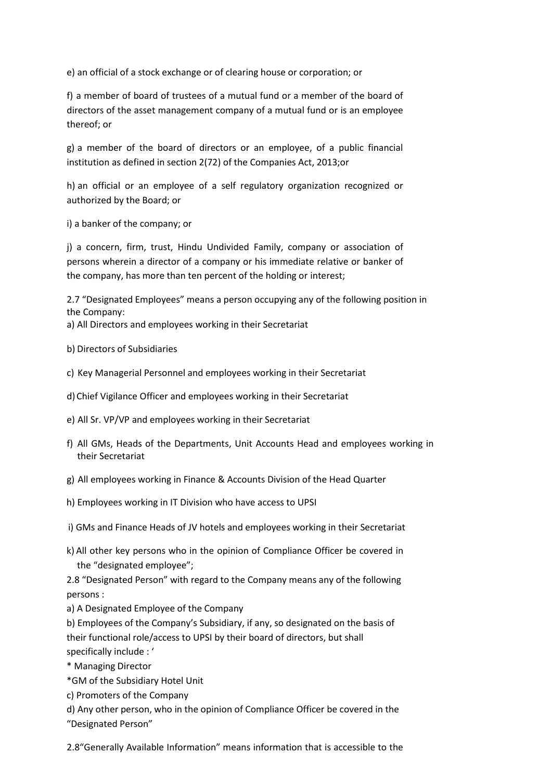e) an official of a stock exchange or of clearing house or corporation; or

f) a member of board of trustees of a mutual fund or a member of the board of directors of the asset management company of a mutual fund or is an employee thereof; or

g) a member of the board of directors or an employee, of a public financial institution as defined in section 2(72) of the Companies Act, 2013;or

h) an official or an employee of a self regulatory organization recognized or authorized by the Board; or

i) a banker of the company; or

j) a concern, firm, trust, Hindu Undivided Family, company or association of persons wherein a director of a company or his immediate relative or banker of the company, has more than ten percent of the holding or interest;

2.7 "Designated Employees" means a person occupying any of the following position in the Company:

a) All Directors and employees working in their Secretariat

- b) Directors of Subsidiaries
- c) Key Managerial Personnel and employees working in their Secretariat
- d)Chief Vigilance Officer and employees working in their Secretariat
- e) All Sr. VP/VP and employees working in their Secretariat
- f) All GMs, Heads of the Departments, Unit Accounts Head and employees working in their Secretariat
- g) All employees working in Finance & Accounts Division of the Head Quarter
- h) Employees working in IT Division who have access to UPSI
- i) GMs and Finance Heads of JV hotels and employees working in their Secretariat
- k) All other key persons who in the opinion of Compliance Officer be covered in the "designated employee";

2.8 "Designated Person" with regard to the Company means any of the following persons :

a) A Designated Employee of the Company

b) Employees of the Company's Subsidiary, if any, so designated on the basis of their functional role/access to UPSI by their board of directors, but shall specifically include : '

\* Managing Director

- \*GM of the Subsidiary Hotel Unit
- c) Promoters of the Company

d) Any other person, who in the opinion of Compliance Officer be covered in the "Designated Person"

2.8"Generally Available Information" means information that is accessible to the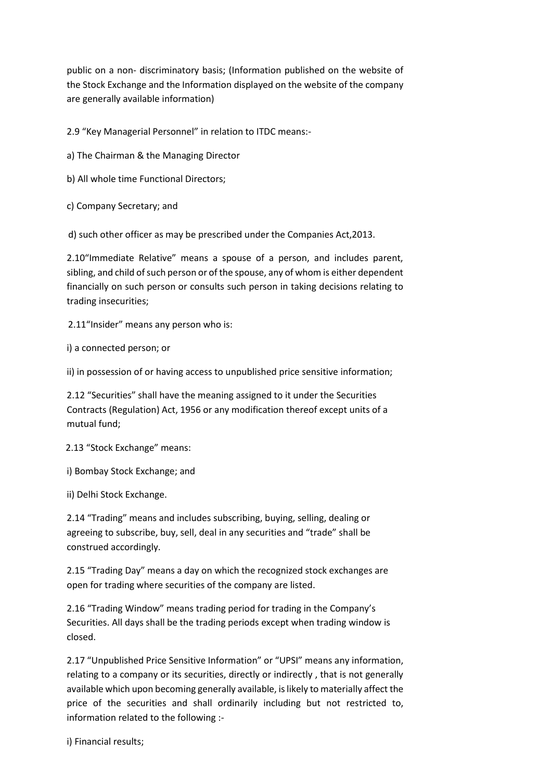public on a non- discriminatory basis; (Information published on the website of the Stock Exchange and the Information displayed on the website of the company are generally available information)

2.9 "Key Managerial Personnel" in relation to ITDC means:-

- a) The Chairman & the Managing Director
- b) All whole time Functional Directors;
- c) Company Secretary; and

d) such other officer as may be prescribed under the Companies Act,2013.

2.10"Immediate Relative" means a spouse of a person, and includes parent, sibling, and child of such person or of the spouse, any of whom is either dependent financially on such person or consults such person in taking decisions relating to trading insecurities;

2.11"Insider" means any person who is:

i) a connected person; or

ii) in possession of or having access to unpublished price sensitive information;

2.12 "Securities" shall have the meaning assigned to it under the Securities Contracts (Regulation) Act, 1956 or any modification thereof except units of a mutual fund;

2.13 "Stock Exchange" means:

i) Bombay Stock Exchange; and

ii) Delhi Stock Exchange.

2.14 "Trading" means and includes subscribing, buying, selling, dealing or agreeing to subscribe, buy, sell, deal in any securities and "trade" shall be construed accordingly.

2.15 "Trading Day" means a day on which the recognized stock exchanges are open for trading where securities of the company are listed.

2.16 "Trading Window" means trading period for trading in the Company's Securities. All days shall be the trading periods except when trading window is closed.

2.17 "Unpublished Price Sensitive Information" or "UPSI" means any information, relating to a company or its securities, directly or indirectly , that is not generally available which upon becoming generally available, is likely to materially affect the price of the securities and shall ordinarily including but not restricted to, information related to the following :-

i) Financial results;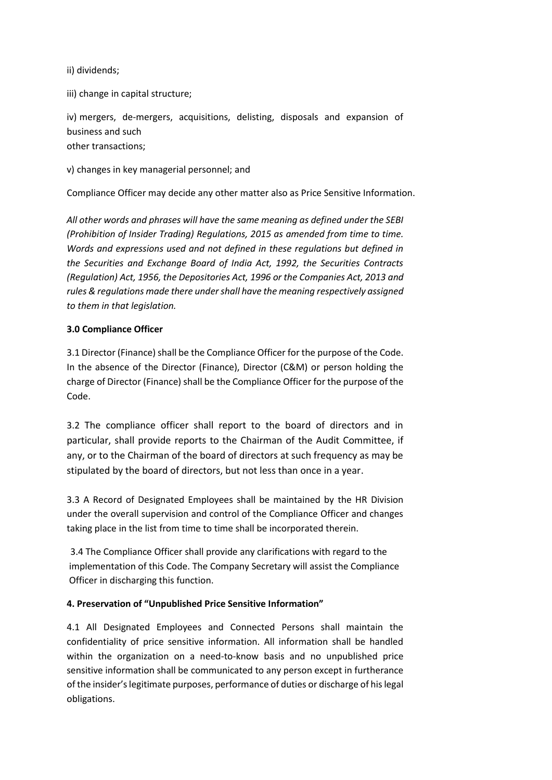ii) dividends;

iii) change in capital structure;

iv) mergers, de-mergers, acquisitions, delisting, disposals and expansion of business and such other transactions;

v) changes in key managerial personnel; and

Compliance Officer may decide any other matter also as Price Sensitive Information.

*All other words and phrases will have the same meaning as defined under the SEBI (Prohibition of Insider Trading) Regulations, 2015 as amended from time to time. Words and expressions used and not defined in these regulations but defined in the Securities and Exchange Board of India Act, 1992, the Securities Contracts (Regulation) Act, 1956, the Depositories Act, 1996 or the Companies Act, 2013 and rules & regulations made there under shall have the meaning respectively assigned to them in that legislation.*

## **3.0 Compliance Officer**

3.1 Director (Finance) shall be the Compliance Officer for the purpose of the Code. In the absence of the Director (Finance), Director (C&M) or person holding the charge of Director (Finance) shall be the Compliance Officer for the purpose of the Code.

3.2 The compliance officer shall report to the board of directors and in particular, shall provide reports to the Chairman of the Audit Committee, if any, or to the Chairman of the board of directors at such frequency as may be stipulated by the board of directors, but not less than once in a year.

3.3 A Record of Designated Employees shall be maintained by the HR Division under the overall supervision and control of the Compliance Officer and changes taking place in the list from time to time shall be incorporated therein.

 3.4 The Compliance Officer shall provide any clarifications with regard to the implementation of this Code. The Company Secretary will assist the Compliance Officer in discharging this function.

## **4. Preservation of "Unpublished Price Sensitive Information"**

4.1 All Designated Employees and Connected Persons shall maintain the confidentiality of price sensitive information. All information shall be handled within the organization on a need-to-know basis and no unpublished price sensitive information shall be communicated to any person except in furtherance of the insider's legitimate purposes, performance of duties or discharge of his legal obligations.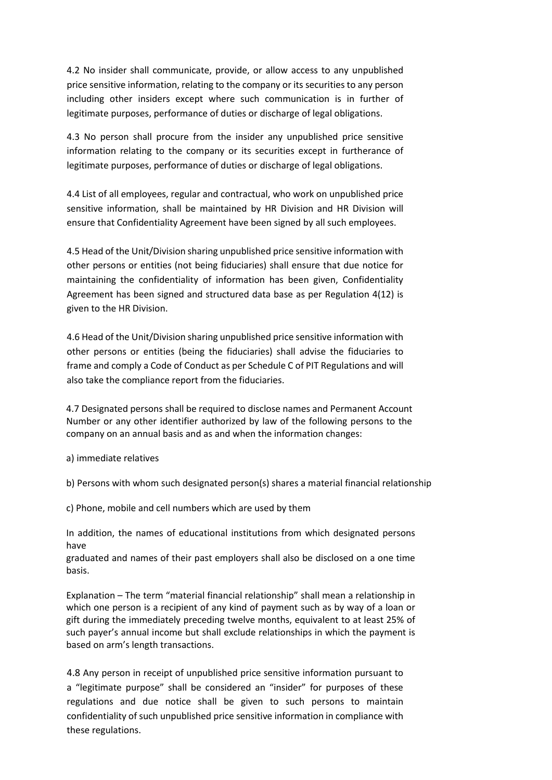4.2 No insider shall communicate, provide, or allow access to any unpublished price sensitive information, relating to the company or its securities to any person including other insiders except where such communication is in further of legitimate purposes, performance of duties or discharge of legal obligations.

4.3 No person shall procure from the insider any unpublished price sensitive information relating to the company or its securities except in furtherance of legitimate purposes, performance of duties or discharge of legal obligations.

4.4 List of all employees, regular and contractual, who work on unpublished price sensitive information, shall be maintained by HR Division and HR Division will ensure that Confidentiality Agreement have been signed by all such employees.

4.5 Head of the Unit/Division sharing unpublished price sensitive information with other persons or entities (not being fiduciaries) shall ensure that due notice for maintaining the confidentiality of information has been given, Confidentiality Agreement has been signed and structured data base as per Regulation 4(12) is given to the HR Division.

4.6 Head of the Unit/Division sharing unpublished price sensitive information with other persons or entities (being the fiduciaries) shall advise the fiduciaries to frame and comply a Code of Conduct as per Schedule C of PIT Regulations and will also take the compliance report from the fiduciaries.

4.7 Designated persons shall be required to disclose names and Permanent Account Number or any other identifier authorized by law of the following persons to the company on an annual basis and as and when the information changes:

a) immediate relatives

b) Persons with whom such designated person(s) shares a material financial relationship

c) Phone, mobile and cell numbers which are used by them

In addition, the names of educational institutions from which designated persons have

graduated and names of their past employers shall also be disclosed on a one time basis.

Explanation – The term "material financial relationship" shall mean a relationship in which one person is a recipient of any kind of payment such as by way of a loan or gift during the immediately preceding twelve months, equivalent to at least 25% of such payer's annual income but shall exclude relationships in which the payment is based on arm's length transactions.

4.8 Any person in receipt of unpublished price sensitive information pursuant to a "legitimate purpose" shall be considered an "insider" for purposes of these regulations and due notice shall be given to such persons to maintain confidentiality of such unpublished price sensitive information in compliance with these regulations.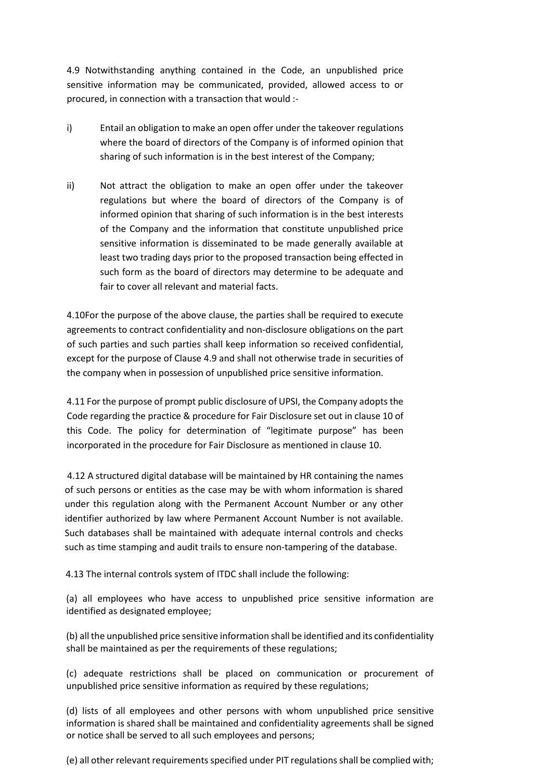4.9 Notwithstanding anything contained in the Code, an unpublished price sensitive information may be communicated, provided, allowed access to or procured, in connection with a transaction that would :-

- i) Entail an obligation to make an open offer under the takeover regulations where the board of directors of the Company is of informed opinion that sharing of such information is in the best interest of the Company;
- ii) Not attract the obligation to make an open offer under the takeover regulations but where the board of directors of the Company is of informed opinion that sharing of such information is in the best interests of the Company and the information that constitute unpublished price sensitive information is disseminated to be made generally available at least two trading days prior to the proposed transaction being effected in such form as the board of directors may determine to be adequate and fair to cover all relevant and material facts.

4.10For the purpose of the above clause, the parties shall be required to execute agreements to contract confidentiality and non-disclosure obligations on the part of such parties and such parties shall keep information so received confidential, except for the purpose of Clause 4.9 and shall not otherwise trade in securities of the company when in possession of unpublished price sensitive information.

4.11 For the purpose of prompt public disclosure of UPSI, the Company adopts the Code regarding the practice & procedure for Fair Disclosure set out in clause 10 of this Code. The policy for determination of "legitimate purpose" has been incorporated in the procedure for Fair Disclosure as mentioned in clause 10.

4.12 A structured digital database will be maintained by HR containing the names of such persons or entities as the case may be with whom information is shared under this regulation along with the Permanent Account Number or any other identifier authorized by law where Permanent Account Number is not available. Such databases shall be maintained with adequate internal controls and checks such as time stamping and audit trails to ensure non-tampering of the database.

4.13 The internal controls system of ITDC shall include the following:

(a) all employees who have access to unpublished price sensitive information are identified as designated employee;

(b) all the unpublished price sensitive information shall be identified and its confidentiality shall be maintained as per the requirements of these regulations;

(c) adequate restrictions shall be placed on communication or procurement of unpublished price sensitive information as required by these regulations;

(d) lists of all employees and other persons with whom unpublished price sensitive information is shared shall be maintained and confidentiality agreements shall be signed or notice shall be served to all such employees and persons;

(e) all other relevant requirements specified under PIT regulations shall be complied with;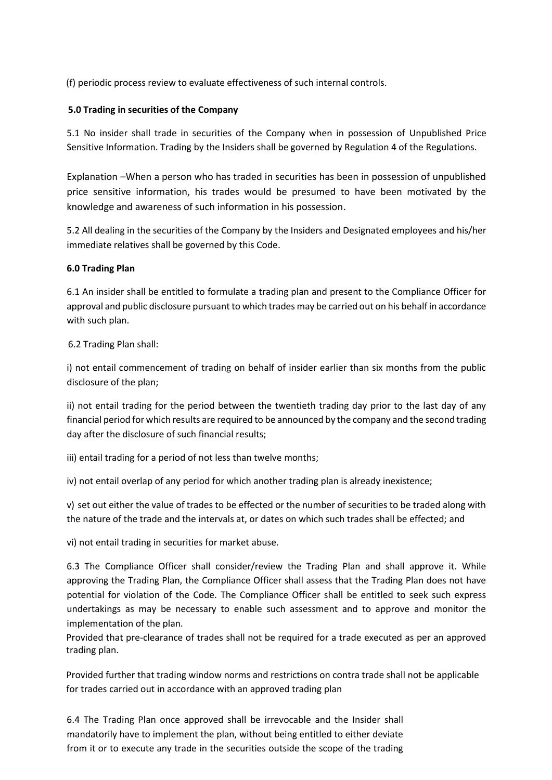(f) periodic process review to evaluate effectiveness of such internal controls.

## **5.0 Trading in securities of the Company**

5.1 No insider shall trade in securities of the Company when in possession of Unpublished Price Sensitive Information. Trading by the Insiders shall be governed by Regulation 4 of the Regulations.

Explanation –When a person who has traded in securities has been in possession of unpublished price sensitive information, his trades would be presumed to have been motivated by the knowledge and awareness of such information in his possession.

5.2 All dealing in the securities of the Company by the Insiders and Designated employees and his/her immediate relatives shall be governed by this Code.

## **6.0 Trading Plan**

6.1 An insider shall be entitled to formulate a trading plan and present to the Compliance Officer for approval and public disclosure pursuant to which trades may be carried out on his behalf in accordance with such plan.

## 6.2 Trading Plan shall:

i) not entail commencement of trading on behalf of insider earlier than six months from the public disclosure of the plan;

ii) not entail trading for the period between the twentieth trading day prior to the last day of any financial period for which results are required to be announced by the company and the second trading day after the disclosure of such financial results;

iii) entail trading for a period of not less than twelve months;

iv) not entail overlap of any period for which another trading plan is already inexistence;

v) set out either the value of trades to be effected or the number of securities to be traded along with the nature of the trade and the intervals at, or dates on which such trades shall be effected; and

vi) not entail trading in securities for market abuse.

6.3 The Compliance Officer shall consider/review the Trading Plan and shall approve it. While approving the Trading Plan, the Compliance Officer shall assess that the Trading Plan does not have potential for violation of the Code. The Compliance Officer shall be entitled to seek such express undertakings as may be necessary to enable such assessment and to approve and monitor the implementation of the plan.

Provided that pre-clearance of trades shall not be required for a trade executed as per an approved trading plan.

Provided further that trading window norms and restrictions on contra trade shall not be applicable for trades carried out in accordance with an approved trading plan

6.4 The Trading Plan once approved shall be irrevocable and the Insider shall mandatorily have to implement the plan, without being entitled to either deviate from it or to execute any trade in the securities outside the scope of the trading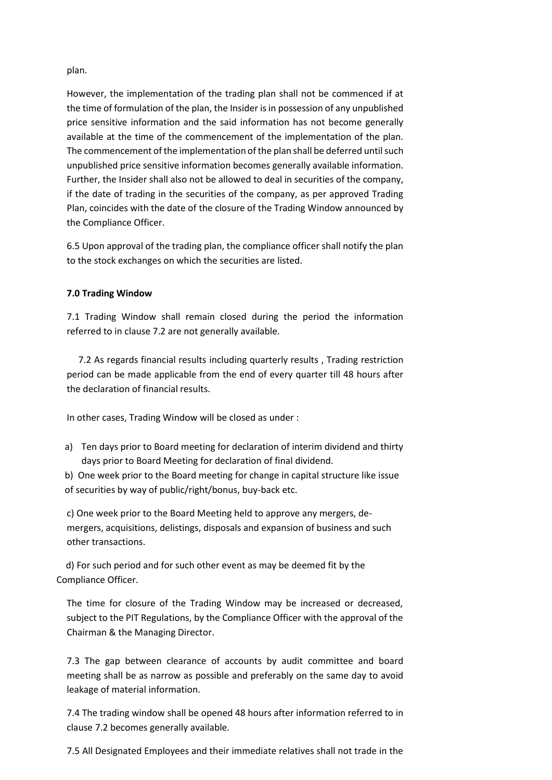#### plan.

However, the implementation of the trading plan shall not be commenced if at the time of formulation of the plan, the Insider is in possession of any unpublished price sensitive information and the said information has not become generally available at the time of the commencement of the implementation of the plan. The commencement of the implementation of the plan shall be deferred until such unpublished price sensitive information becomes generally available information. Further, the Insider shall also not be allowed to deal in securities of the company, if the date of trading in the securities of the company, as per approved Trading Plan, coincides with the date of the closure of the Trading Window announced by the Compliance Officer.

6.5 Upon approval of the trading plan, the compliance officer shall notify the plan to the stock exchanges on which the securities are listed.

## **7.0 Trading Window**

7.1 Trading Window shall remain closed during the period the information referred to in clause 7.2 are not generally available.

 7.2 As regards financial results including quarterly results , Trading restriction period can be made applicable from the end of every quarter till 48 hours after the declaration of financial results.

In other cases, Trading Window will be closed as under :

a) Ten days prior to Board meeting for declaration of interim dividend and thirty days prior to Board Meeting for declaration of final dividend.

b) One week prior to the Board meeting for change in capital structure like issue of securities by way of public/right/bonus, buy-back etc.

c) One week prior to the Board Meeting held to approve any mergers, demergers, acquisitions, delistings, disposals and expansion of business and such other transactions.

 d) For such period and for such other event as may be deemed fit by the Compliance Officer.

The time for closure of the Trading Window may be increased or decreased, subject to the PIT Regulations, by the Compliance Officer with the approval of the Chairman & the Managing Director.

7.3 The gap between clearance of accounts by audit committee and board meeting shall be as narrow as possible and preferably on the same day to avoid leakage of material information.

7.4 The trading window shall be opened 48 hours after information referred to in clause 7.2 becomes generally available.

7.5 All Designated Employees and their immediate relatives shall not trade in the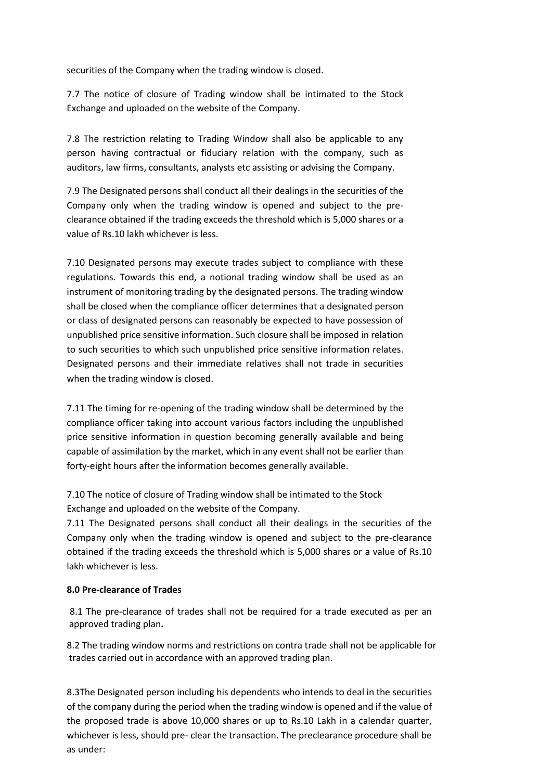securities of the Company when the trading window is closed.

7.7 The notice of closure of Trading window shall be intimated to the Stock Exchange and uploaded on the website of the Company.

7.8 The restriction relating to Trading Window shall also be applicable to any person having contractual or fiduciary relation with the company, such as auditors, law firms, consultants, analysts etc assisting or advising the Company.

7.9 The Designated persons shall conduct all their dealings in the securities of the Company only when the trading window is opened and subject to the preclearance obtained if the trading exceeds the threshold which is 5,000 shares or a value of Rs.10 lakh whichever is less.

7.10 Designated persons may execute trades subject to compliance with these regulations. Towards this end, a notional trading window shall be used as an instrument of monitoring trading by the designated persons. The trading window shall be closed when the compliance officer determines that a designated person or class of designated persons can reasonably be expected to have possession of unpublished price sensitive information. Such closure shall be imposed in relation to such securities to which such unpublished price sensitive information relates. Designated persons and their immediate relatives shall not trade in securities when the trading window is closed.

7.11 The timing for re-opening of the trading window shall be determined by the compliance officer taking into account various factors including the unpublished price sensitive information in question becoming generally available and being capable of assimilation by the market, which in any event shall not be earlier than forty-eight hours after the information becomes generally available.

7.10 The notice of closure of Trading window shall be intimated to the Stock Exchange and uploaded on the website of the Company.

7.11 The Designated persons shall conduct all their dealings in the securities of the Company only when the trading window is opened and subject to the pre-clearance obtained if the trading exceeds the threshold which is 5,000 shares or a value of Rs.10 lakh whichever is less.

## **8.0 Pre-clearance of Trades**

 8.1 The pre-clearance of trades shall not be required for a trade executed as per an approved trading plan**.** 

8.2 The trading window norms and restrictions on contra trade shall not be applicable for trades carried out in accordance with an approved trading plan.

8.3The Designated person including his dependents who intends to deal in the securities of the company during the period when the trading window is opened and if the value of the proposed trade is above 10,000 shares or up to Rs.10 Lakh in a calendar quarter, whichever is less, should pre- clear the transaction. The preclearance procedure shall be as under: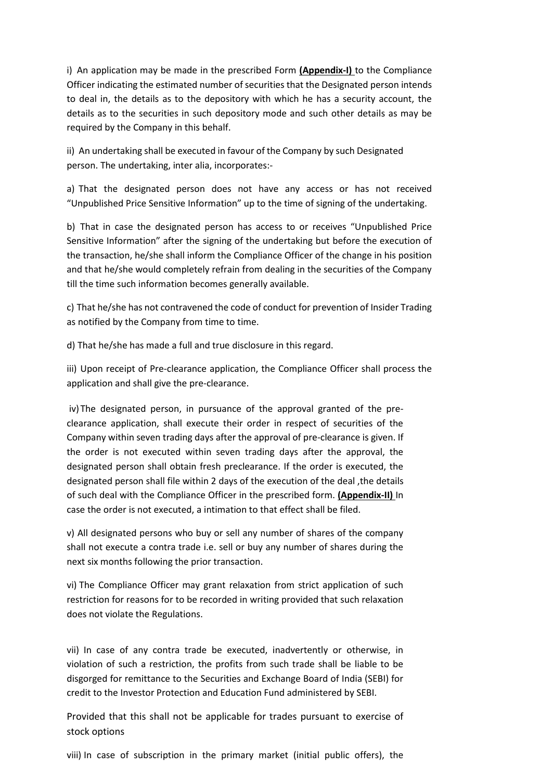i) An application may be made in the prescribed Form **(Appendix-I)** to the Compliance Officer indicating the estimated number of securities that the Designated person intends to deal in, the details as to the depository with which he has a security account, the details as to the securities in such depository mode and such other details as may be required by the Company in this behalf.

ii) An undertaking shall be executed in favour of the Company by such Designated person. The undertaking, inter alia, incorporates:-

a) That the designated person does not have any access or has not received "Unpublished Price Sensitive Information" up to the time of signing of the undertaking.

b) That in case the designated person has access to or receives "Unpublished Price Sensitive Information" after the signing of the undertaking but before the execution of the transaction, he/she shall inform the Compliance Officer of the change in his position and that he/she would completely refrain from dealing in the securities of the Company till the time such information becomes generally available.

c) That he/she has not contravened the code of conduct for prevention of Insider Trading as notified by the Company from time to time.

d) That he/she has made a full and true disclosure in this regard.

iii) Upon receipt of Pre-clearance application, the Compliance Officer shall process the application and shall give the pre-clearance.

iv) The designated person, in pursuance of the approval granted of the preclearance application, shall execute their order in respect of securities of the Company within seven trading days after the approval of pre-clearance is given. If the order is not executed within seven trading days after the approval, the designated person shall obtain fresh preclearance. If the order is executed, the designated person shall file within 2 days of the execution of the deal ,the details of such deal with the Compliance Officer in the prescribed form. **(Appendix-II)** In case the order is not executed, a intimation to that effect shall be filed.

v) All designated persons who buy or sell any number of shares of the company shall not execute a contra trade i.e. sell or buy any number of shares during the next six months following the prior transaction.

vi) The Compliance Officer may grant relaxation from strict application of such restriction for reasons for to be recorded in writing provided that such relaxation does not violate the Regulations.

vii) In case of any contra trade be executed, inadvertently or otherwise, in violation of such a restriction, the profits from such trade shall be liable to be disgorged for remittance to the Securities and Exchange Board of India (SEBI) for credit to the Investor Protection and Education Fund administered by SEBI.

Provided that this shall not be applicable for trades pursuant to exercise of stock options

viii) In case of subscription in the primary market (initial public offers), the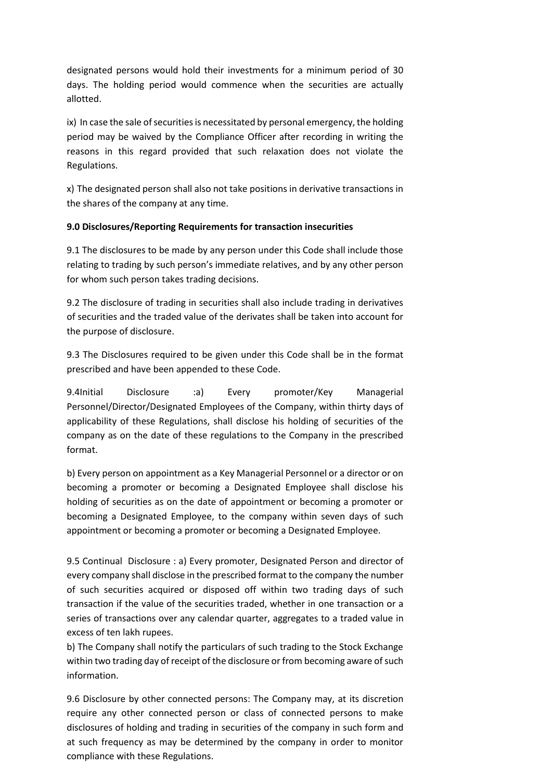designated persons would hold their investments for a minimum period of 30 days. The holding period would commence when the securities are actually allotted.

ix) In case the sale of securities is necessitated by personal emergency, the holding period may be waived by the Compliance Officer after recording in writing the reasons in this regard provided that such relaxation does not violate the Regulations.

x) The designated person shall also not take positions in derivative transactions in the shares of the company at any time.

## **9.0 Disclosures/Reporting Requirements for transaction insecurities**

9.1 The disclosures to be made by any person under this Code shall include those relating to trading by such person's immediate relatives, and by any other person for whom such person takes trading decisions.

9.2 The disclosure of trading in securities shall also include trading in derivatives of securities and the traded value of the derivates shall be taken into account for the purpose of disclosure.

9.3 The Disclosures required to be given under this Code shall be in the format prescribed and have been appended to these Code.

9.4Initial Disclosure :a) Every promoter/Key Managerial Personnel/Director/Designated Employees of the Company, within thirty days of applicability of these Regulations, shall disclose his holding of securities of the company as on the date of these regulations to the Company in the prescribed format.

b) Every person on appointment as a Key Managerial Personnel or a director or on becoming a promoter or becoming a Designated Employee shall disclose his holding of securities as on the date of appointment or becoming a promoter or becoming a Designated Employee, to the company within seven days of such appointment or becoming a promoter or becoming a Designated Employee.

9.5 Continual Disclosure : a) Every promoter, Designated Person and director of every company shall disclose in the prescribed format to the company the number of such securities acquired or disposed off within two trading days of such transaction if the value of the securities traded, whether in one transaction or a series of transactions over any calendar quarter, aggregates to a traded value in excess of ten lakh rupees.

b) The Company shall notify the particulars of such trading to the Stock Exchange within two trading day of receipt of the disclosure or from becoming aware of such information.

9.6 Disclosure by other connected persons: The Company may, at its discretion require any other connected person or class of connected persons to make disclosures of holding and trading in securities of the company in such form and at such frequency as may be determined by the company in order to monitor compliance with these Regulations.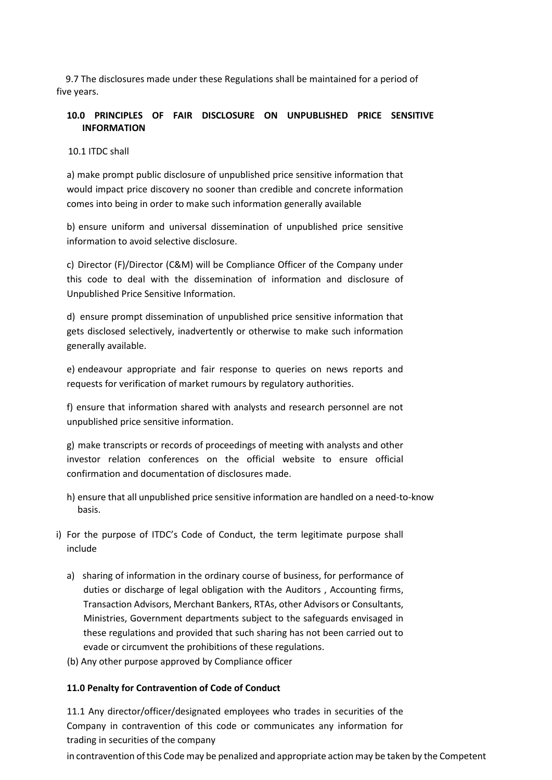9.7 The disclosures made under these Regulations shall be maintained for a period of five years.

## **10.0 PRINCIPLES OF FAIR DISCLOSURE ON UNPUBLISHED PRICE SENSITIVE INFORMATION**

## 10.1 ITDC shall

a) make prompt public disclosure of unpublished price sensitive information that would impact price discovery no sooner than credible and concrete information comes into being in order to make such information generally available

b) ensure uniform and universal dissemination of unpublished price sensitive information to avoid selective disclosure.

c) Director (F)/Director (C&M) will be Compliance Officer of the Company under this code to deal with the dissemination of information and disclosure of Unpublished Price Sensitive Information.

d) ensure prompt dissemination of unpublished price sensitive information that gets disclosed selectively, inadvertently or otherwise to make such information generally available.

e) endeavour appropriate and fair response to queries on news reports and requests for verification of market rumours by regulatory authorities.

f) ensure that information shared with analysts and research personnel are not unpublished price sensitive information.

g) make transcripts or records of proceedings of meeting with analysts and other investor relation conferences on the official website to ensure official confirmation and documentation of disclosures made.

- h) ensure that all unpublished price sensitive information are handled on a need-to-know basis.
- i) For the purpose of ITDC's Code of Conduct, the term legitimate purpose shall include
	- a) sharing of information in the ordinary course of business, for performance of duties or discharge of legal obligation with the Auditors , Accounting firms, Transaction Advisors, Merchant Bankers, RTAs, other Advisors or Consultants, Ministries, Government departments subject to the safeguards envisaged in these regulations and provided that such sharing has not been carried out to evade or circumvent the prohibitions of these regulations.
	- (b) Any other purpose approved by Compliance officer

#### **11.0 Penalty for Contravention of Code of Conduct**

11.1 Any director/officer/designated employees who trades in securities of the Company in contravention of this code or communicates any information for trading in securities of the company

in contravention of this Code may be penalized and appropriate action may be taken by the Competent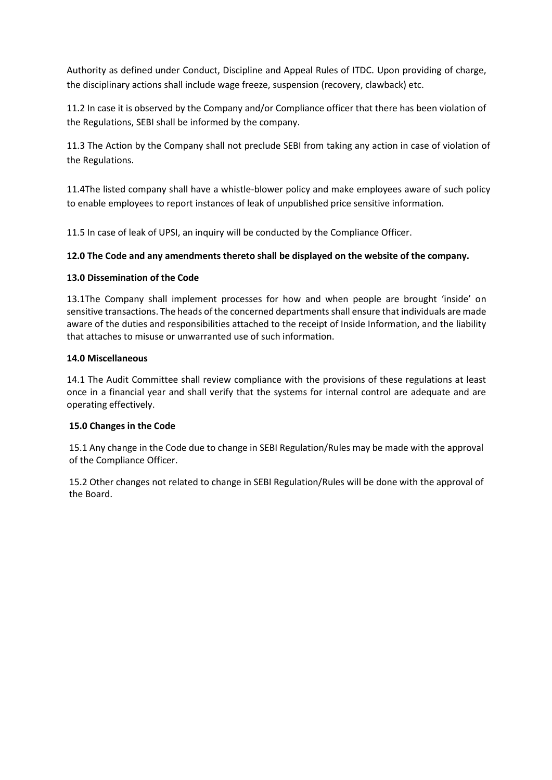Authority as defined under Conduct, Discipline and Appeal Rules of ITDC. Upon providing of charge, the disciplinary actions shall include wage freeze, suspension (recovery, clawback) etc.

11.2 In case it is observed by the Company and/or Compliance officer that there has been violation of the Regulations, SEBI shall be informed by the company.

11.3 The Action by the Company shall not preclude SEBI from taking any action in case of violation of the Regulations.

11.4The listed company shall have a whistle-blower policy and make employees aware of such policy to enable employees to report instances of leak of unpublished price sensitive information.

11.5 In case of leak of UPSI, an inquiry will be conducted by the Compliance Officer.

## **12.0 The Code and any amendments thereto shall be displayed on the website of the company.**

## **13.0 Dissemination of the Code**

13.1The Company shall implement processes for how and when people are brought 'inside' on sensitive transactions. The heads of the concerned departments shall ensure that individuals are made aware of the duties and responsibilities attached to the receipt of Inside Information, and the liability that attaches to misuse or unwarranted use of such information.

## **14.0 Miscellaneous**

14.1 The Audit Committee shall review compliance with the provisions of these regulations at least once in a financial year and shall verify that the systems for internal control are adequate and are operating effectively.

## **15.0 Changes in the Code**

15.1 Any change in the Code due to change in SEBI Regulation/Rules may be made with the approval of the Compliance Officer.

15.2 Other changes not related to change in SEBI Regulation/Rules will be done with the approval of the Board.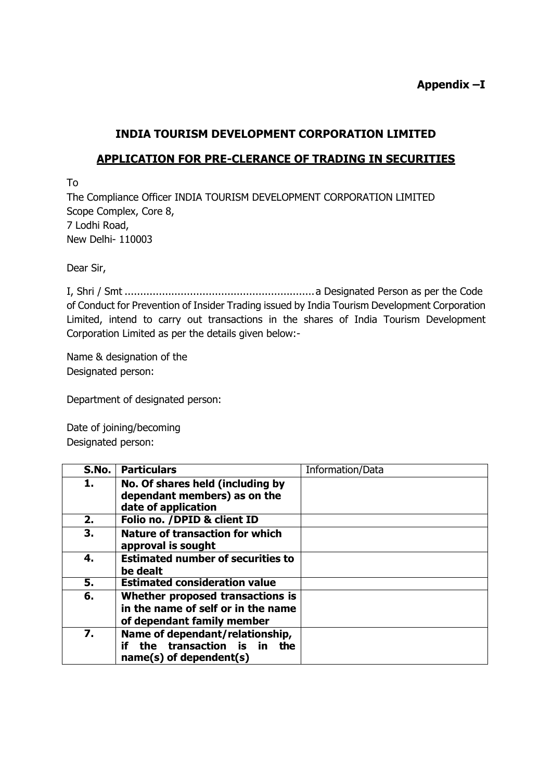# **INDIA TOURISM DEVELOPMENT CORPORATION LIMITED**

## **APPLICATION FOR PRE-CLERANCE OF TRADING IN SECURITIES**

To

The Compliance Officer INDIA TOURISM DEVELOPMENT CORPORATION LIMITED Scope Complex, Core 8, 7 Lodhi Road, New Delhi- 110003

Dear Sir,

I, Shri / Smt .............................................................a Designated Person as per the Code of Conduct for Prevention of Insider Trading issued by India Tourism Development Corporation Limited, intend to carry out transactions in the shares of India Tourism Development Corporation Limited as per the details given below:-

Name & designation of the Designated person:

Department of designated person:

Date of joining/becoming Designated person:

| S.No. | <b>Particulars</b>                                                                                        | Information/Data |
|-------|-----------------------------------------------------------------------------------------------------------|------------------|
| 1.    | No. Of shares held (including by<br>dependant members) as on the<br>date of application                   |                  |
| 2.    | Folio no. /DPID & client ID                                                                               |                  |
| 3.    | <b>Nature of transaction for which</b><br>approval is sought                                              |                  |
| 4.    | <b>Estimated number of securities to</b><br>be dealt                                                      |                  |
| 5.    | <b>Estimated consideration value</b>                                                                      |                  |
| 6.    | Whether proposed transactions is<br>in the name of self or in the name<br>of dependant family member      |                  |
| 7.    | Name of dependant/relationship,<br>the transaction is in<br>if<br><b>the</b><br>$name(s)$ of dependent(s) |                  |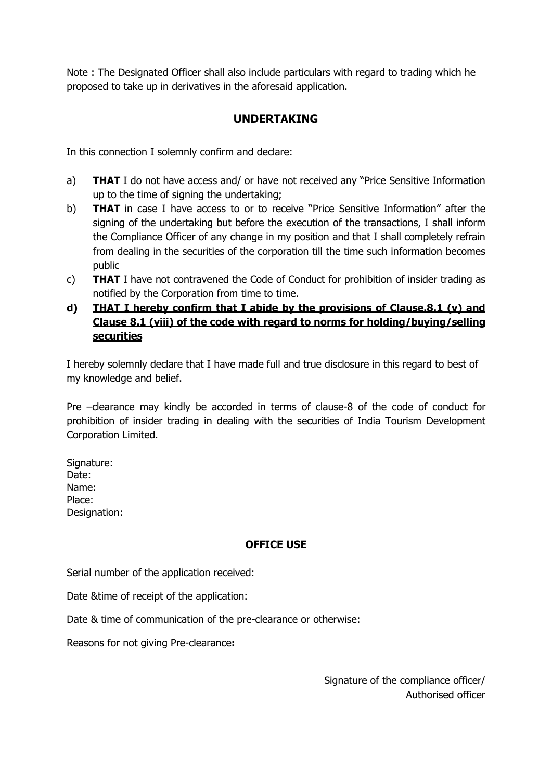Note : The Designated Officer shall also include particulars with regard to trading which he proposed to take up in derivatives in the aforesaid application.

## **UNDERTAKING**

In this connection I solemnly confirm and declare:

- a) **THAT** I do not have access and/ or have not received any "Price Sensitive Information up to the time of signing the undertaking;
- b) **THAT** in case I have access to or to receive "Price Sensitive Information" after the signing of the undertaking but before the execution of the transactions, I shall inform the Compliance Officer of any change in my position and that I shall completely refrain from dealing in the securities of the corporation till the time such information becomes public
- c) **THAT** I have not contravened the Code of Conduct for prohibition of insider trading as notified by the Corporation from time to time.
- **d) THAT I hereby confirm that I abide by the provisions of Clause.8.1 (v) and Clause 8.1 (viii) of the code with regard to norms for holding/buying/selling securities**

I hereby solemnly declare that I have made full and true disclosure in this regard to best of my knowledge and belief.

Pre –clearance may kindly be accorded in terms of clause-8 of the code of conduct for prohibition of insider trading in dealing with the securities of India Tourism Development Corporation Limited.

Signature: Date: Name: Place: Designation:

## **OFFICE USE**

Serial number of the application received:

Date &time of receipt of the application:

Date & time of communication of the pre-clearance or otherwise:

Reasons for not giving Pre-clearance**:**

Signature of the compliance officer/ Authorised officer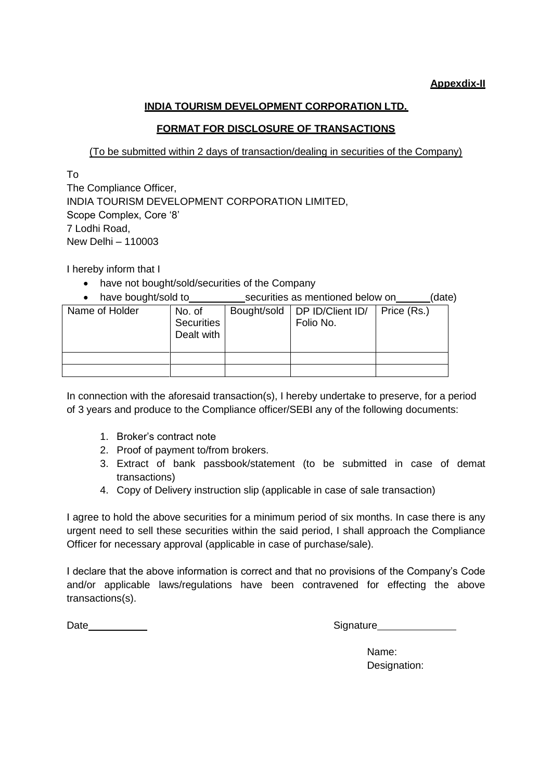## **Appexdix-II**

## **INDIA TOURISM DEVELOPMENT CORPORATION LTD.**

## **FORMAT FOR DISCLOSURE OF TRANSACTIONS**

(To be submitted within 2 days of transaction/dealing in securities of the Company)

To

The Compliance Officer, INDIA TOURISM DEVELOPMENT CORPORATION LIMITED, Scope Complex, Core '8' 7 Lodhi Road, New Delhi – 110003

I hereby inform that I

- have not bought/sold/securities of the Company
- have bought/sold to securities as mentioned below on (date)

| Name of Holder | No. of<br>Securities<br>Dealt with | Bought/sold | DP ID/Client ID/<br>Folio No. | Price (Rs.) |
|----------------|------------------------------------|-------------|-------------------------------|-------------|
|                |                                    |             |                               |             |
|                |                                    |             |                               |             |

In connection with the aforesaid transaction(s), I hereby undertake to preserve, for a period of 3 years and produce to the Compliance officer/SEBI any of the following documents:

- 1. Broker's contract note
- 2. Proof of payment to/from brokers.
- 3. Extract of bank passbook/statement (to be submitted in case of demat transactions)
- 4. Copy of Delivery instruction slip (applicable in case of sale transaction)

I agree to hold the above securities for a minimum period of six months. In case there is any urgent need to sell these securities within the said period, I shall approach the Compliance Officer for necessary approval (applicable in case of purchase/sale).

I declare that the above information is correct and that no provisions of the Company's Code and/or applicable laws/regulations have been contravened for effecting the above transactions(s).

Date Signature

Name: Designation: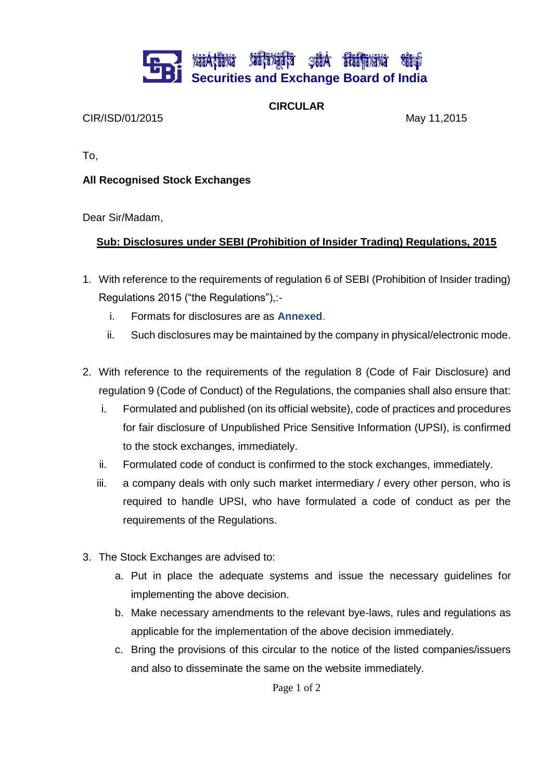## **XáiA†áiXá XiáFáXájáFá ŞáiA iTáiFaXáx**á **Securities and Exchange Board of India**

**CIRCULAR**

CIR/ISD/01/2015 May 11,2015

To,

## **All Recognised Stock Exchanges**

Dear Sir/Madam,

## **Sub: Disclosures under SEBI (Prohibition of Insider Trading) Regulations, 2015**

- 1. With reference to the requirements of regulation 6 of SEBI (Prohibition of Insider trading) Regulations 2015 ("the Regulations"),:
	- i. Formats for disclosures are as **Annexed**.
	- ii. Such disclosures may be maintained by the company in physical/electronic mode.
- 2. With reference to the requirements of the regulation 8 (Code of Fair Disclosure) and regulation 9 (Code of Conduct) of the Regulations, the companies shall also ensure that:
	- i. Formulated and published (on its official website), code of practices and procedures for fair disclosure of Unpublished Price Sensitive Information (UPSI), is confirmed to the stock exchanges, immediately.
	- ii. Formulated code of conduct is confirmed to the stock exchanges, immediately.
	- iii. a company deals with only such market intermediary / every other person, who is required to handle UPSI, who have formulated a code of conduct as per the requirements of the Regulations.
- 3. The Stock Exchanges are advised to:
	- a. Put in place the adequate systems and issue the necessary guidelines for implementing the above decision.
	- b. Make necessary amendments to the relevant bye-laws, rules and regulations as applicable for the implementation of the above decision immediately.
	- c. Bring the provisions of this circular to the notice of the listed companies/issuers and also to disseminate the same on the website immediately.

Page 1 of 2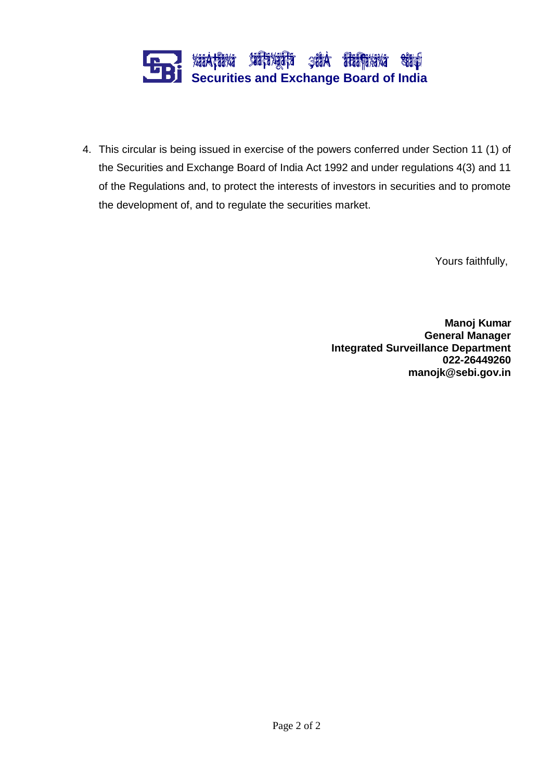

4. This circular is being issued in exercise of the powers conferred under Section 11 (1) of the Securities and Exchange Board of India Act 1992 and under regulations 4(3) and 11 of the Regulations and, to protect the interests of investors in securities and to promote the development of, and to regulate the securities market.

Yours faithfully,

**Manoj Kumar General Manager Integrated Surveillance Department 022-26449260 [manojk@sebi.gov.in](mailto:manojk@sebi.gov.in)**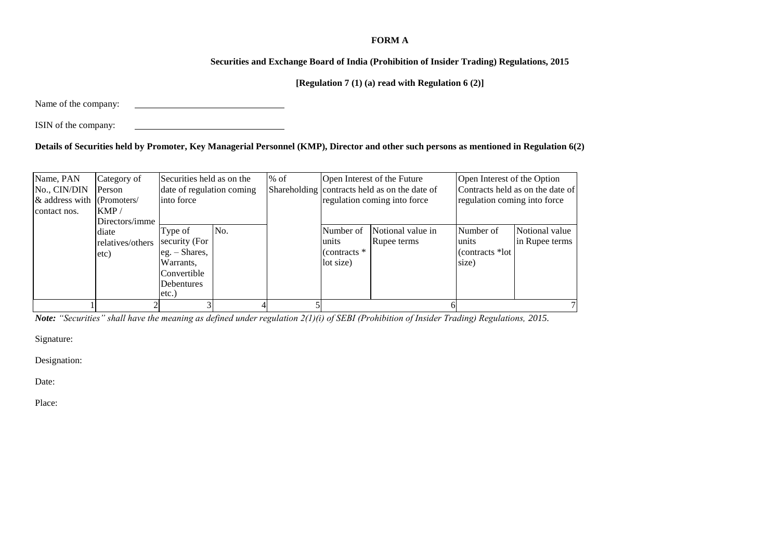#### **FORM A**

#### **Securities and Exchange Board of India (Prohibition of Insider Trading) Regulations, 2015**

## **[Regulation 7 (1) (a) read with Regulation 6 (2)]**

Name of the company:

ISIN of the company:

## **Details of Securities held by Promoter, Key Managerial Personnel (KMP), Director and other such persons as mentioned in Regulation 6(2)**

| Name, PAN<br>No., CIN/DIN<br>$\&$ address with (Promoters/<br>contact nos. | Category of<br>Person<br>KMP/                       | Securities held as on the<br>date of regulation coming<br>into force                                  |     | $%$ of |                                                   | Open Interest of the Future<br>Shareholding contracts held as on the date of<br>regulation coming into force |                                                 | Open Interest of the Option<br>Contracts held as on the date of<br>regulation coming into force |  |
|----------------------------------------------------------------------------|-----------------------------------------------------|-------------------------------------------------------------------------------------------------------|-----|--------|---------------------------------------------------|--------------------------------------------------------------------------------------------------------------|-------------------------------------------------|-------------------------------------------------------------------------------------------------|--|
|                                                                            | Directors/imme<br>diate<br>relatives/others<br>etc) | Type of<br>security (For<br>$eg. - Shares,$<br>Warrants,<br>Convertible<br><b>Debentures</b><br>etc.) | No. |        | Number of<br>units<br>(contracts $*$<br>lot size) | Notional value in<br>Rupee terms                                                                             | Number of<br>units<br>(contracts *lot)<br>size) | Notional value<br>in Rupee terms                                                                |  |
|                                                                            |                                                     |                                                                                                       |     |        |                                                   |                                                                                                              |                                                 |                                                                                                 |  |

*Note: "Securities" shall have the meaning as defined under regulation 2(1)(i) of SEBI (Prohibition of Insider Trading) Regulations, 2015.*

Signature:

Designation:

Date:

Place: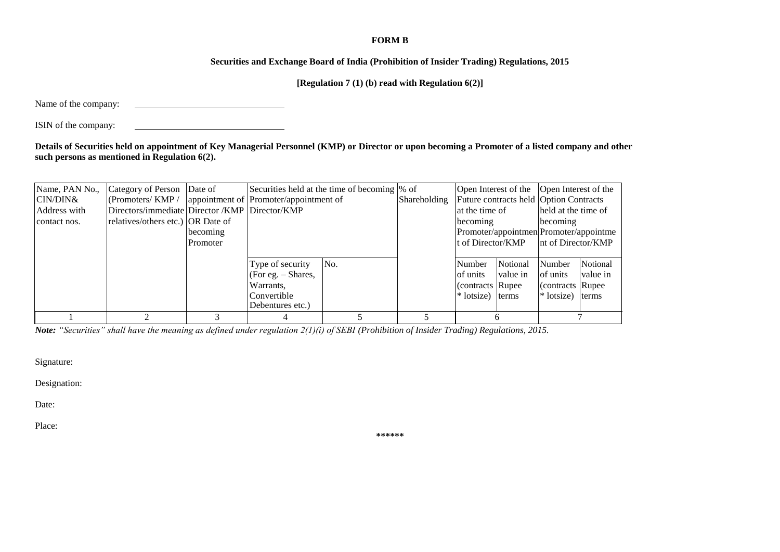#### **FORM B**

#### **Securities and Exchange Board of India (Prohibition of Insider Trading) Regulations, 2015**

**[Regulation 7 (1) (b) read with Regulation 6(2)]**

Name of the company:

ISIN of the company:

**Details of Securities held on appointment of Key Managerial Personnel (KMP) or Director or upon becoming a Promoter of a listed company and other such persons as mentioned in Regulation 6(2).**

|              | Name, PAN No., | Category of Person Date of                              |          |                      | Securities held at the time of becoming \% of |              |                    | Open Interest of the Open Interest of the     |                     |          |
|--------------|----------------|---------------------------------------------------------|----------|----------------------|-----------------------------------------------|--------------|--------------------|-----------------------------------------------|---------------------|----------|
| CIN/DIN&     |                | (Promoters/KMP / appointment of Promoter/appointment of |          |                      |                                               | Shareholding |                    | <b>Future contracts held Option Contracts</b> |                     |          |
|              | Address with   | Directors/immediate Director / KMP Director/KMP         |          |                      |                                               |              | at the time of     |                                               | held at the time of |          |
| contact nos. |                | relatives/others etc.) OR Date of                       |          |                      |                                               |              | becoming           |                                               | becoming            |          |
|              |                |                                                         | becoming |                      |                                               |              |                    | Promoter/appointmen Promoter/appointme        |                     |          |
|              |                |                                                         | Promoter |                      |                                               |              | It of Director/KMP |                                               | Int of Director/KMP |          |
|              |                |                                                         |          |                      |                                               |              |                    |                                               |                     |          |
|              |                |                                                         |          | Type of security     | No.                                           |              | Number             | Notional                                      | Number              | Notional |
|              |                |                                                         |          | (For eg. $-$ Shares, |                                               |              | of units           | value in                                      | of units            | value in |
|              |                |                                                         |          | Warrants,            |                                               |              | Contracts Rupee    |                                               | (contracts Rupee)   |          |
|              |                |                                                         |          | Convertible          |                                               |              | $*$ lotsize)       | terms                                         | * lotsize) terms    |          |
|              |                |                                                         |          | Debentures etc.)     |                                               |              |                    |                                               |                     |          |
|              |                |                                                         |          |                      |                                               |              |                    |                                               |                     |          |

*Note: "Securities" shall have the meaning as defined under regulation 2(1)(i) of SEBI (Prohibition of Insider Trading) Regulations, 2015.*

Signature:

Designation:

Date:

Place:

**\*\*\*\*\*\***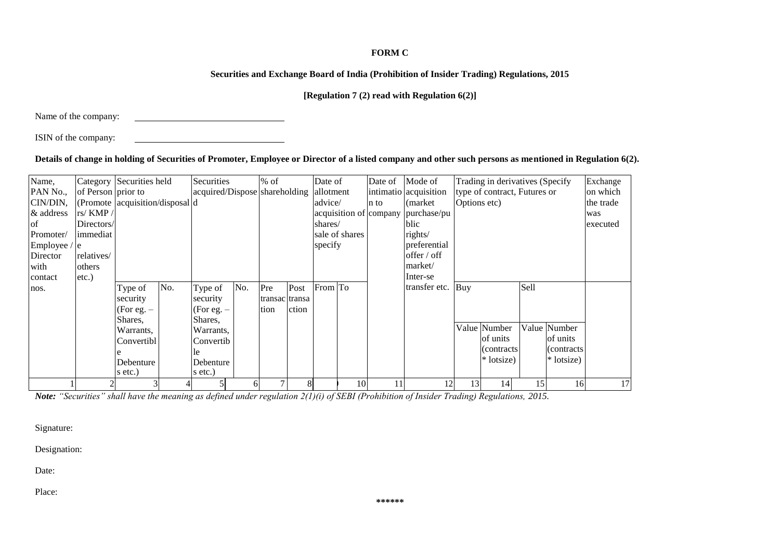## **FORM C**

## **Securities and Exchange Board of India (Prohibition of Insider Trading) Regulations, 2015**

## **[Regulation 7 (2) read with Regulation 6(2)]**

Name of the company:

ISIN of the company:

## **Details of change in holding of Securities of Promoter, Employee or Director of a listed company and other such persons as mentioned in Regulation 6(2).**

| Name,         |                    | Category Securities held                    |     | Securities                    |              | $%$ of         |       | Date of   |                | Date of                | Mode of               |              | Trading in derivatives (Specify) |      |              | Exchange  |
|---------------|--------------------|---------------------------------------------|-----|-------------------------------|--------------|----------------|-------|-----------|----------------|------------------------|-----------------------|--------------|----------------------------------|------|--------------|-----------|
| PAN No.,      | of Person prior to |                                             |     | acquired/Dispose shareholding |              |                |       | allotment |                |                        | intimatio acquisition |              | type of contract, Futures or     |      |              | on which  |
| CIN/DIN,      |                    | (Promote $ \text{acquisition/disposal} d$ ) |     |                               |              |                |       | advice/   |                | n to                   | (market)              | Options etc) |                                  |      |              | the trade |
| & address     | rs/KMP/            |                                             |     |                               |              |                |       |           |                | acquisition of company | purchase/pu           |              |                                  |      |              | was       |
| <sup>of</sup> | Directors/         |                                             |     |                               |              |                |       | shares/   |                |                        | blic                  |              |                                  |      |              | executed  |
| Promoter/     | limmediat          |                                             |     |                               |              |                |       |           | sale of shares |                        | rights/               |              |                                  |      |              |           |
| Employee /    | / le               |                                             |     |                               |              |                |       | specify   |                |                        | preferential          |              |                                  |      |              |           |
| Director      | relatives/         |                                             |     |                               |              |                |       |           |                |                        | offer / off           |              |                                  |      |              |           |
| with          | others             |                                             |     |                               |              |                |       |           |                |                        | market/               |              |                                  |      |              |           |
| contact       | $etc.$ )           |                                             |     |                               |              |                |       |           |                |                        | Inter-se              |              |                                  |      |              |           |
| nos.          |                    | Type of                                     | No. | Type of                       | No.          | Pre            | Post  | From To   |                |                        | transfer etc.         | Buy          |                                  | Sell |              |           |
|               |                    | security                                    |     | security                      |              | transac transa |       |           |                |                        |                       |              |                                  |      |              |           |
|               |                    | (For eg. $-$                                |     | (For eg. $-$                  |              | tion           | ction |           |                |                        |                       |              |                                  |      |              |           |
|               |                    | Shares,                                     |     | Shares,                       |              |                |       |           |                |                        |                       |              |                                  |      |              |           |
|               |                    | Warrants,                                   |     | Warrants,                     |              |                |       |           |                |                        |                       |              | Value Number                     |      | Value Number |           |
|               |                    | Convertibl                                  |     | Convertib                     |              |                |       |           |                |                        |                       |              | of units                         |      | of units     |           |
|               |                    |                                             |     | Пe                            |              |                |       |           |                |                        |                       |              | (contracts)                      |      | (contracts)  |           |
|               |                    | Debenture                                   |     | Debenture                     |              |                |       |           |                |                        |                       |              | * lotsize)                       |      | * lotsize)   |           |
|               |                    | s etc.)                                     |     | s etc.)                       |              |                |       |           |                |                        |                       |              |                                  |      |              |           |
|               |                    |                                             |     |                               | <sub>0</sub> |                |       |           | 10             |                        | 12                    | 13           | 14                               | 15   | 16           | 17        |

*Note: "Securities" shall have the meaning as defined under regulation 2(1)(i) of SEBI (Prohibition of Insider Trading) Regulations, 2015.*

Signature:

Designation:

Date:

Place: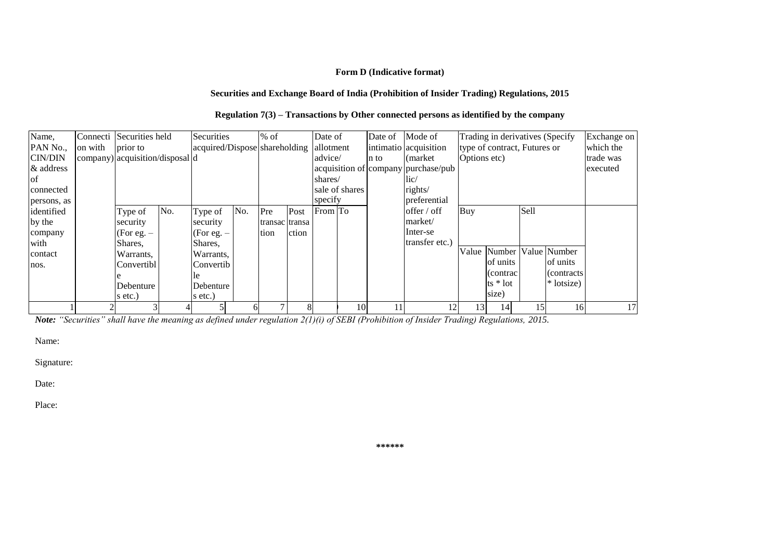### **Form D (Indicative format)**

#### **Securities and Exchange Board of India (Prohibition of Insider Trading) Regulations, 2015**

| Regulation $7(3)$ – Transactions by Other connected persons as identified by the company |  |  |
|------------------------------------------------------------------------------------------|--|--|
|                                                                                          |  |  |

| Name,          | Connecti | Securities held                 |     | Securities                    |     | $%$ of         |       | Date of     |                | Date of Mode of |                                     |              | Trading in derivatives (Specify |      |                     | Exchange on |
|----------------|----------|---------------------------------|-----|-------------------------------|-----|----------------|-------|-------------|----------------|-----------------|-------------------------------------|--------------|---------------------------------|------|---------------------|-------------|
| PAN No.,       | on with  | prior to                        |     | acquired/Dispose shareholding |     |                |       | allotment   |                |                 | intimatio acquisition               |              | type of contract, Futures or    |      |                     | which the   |
| <b>CIN/DIN</b> |          | company) acquisition/disposal d |     |                               |     |                |       | advice/     |                | n to            | (market)                            | Options etc) |                                 |      |                     | trade was   |
| & address      |          |                                 |     |                               |     |                |       |             |                |                 | acquisition of company purchase/pub |              |                                 |      |                     | executed    |
| of             |          |                                 |     |                               |     |                |       | shares/     |                |                 | $\rm{lic}/$                         |              |                                 |      |                     |             |
| connected      |          |                                 |     |                               |     |                |       |             | sale of shares |                 | rights/                             |              |                                 |      |                     |             |
| persons, as    |          |                                 |     |                               |     |                |       | specify     |                |                 | preferential                        |              |                                 |      |                     |             |
| identified     |          | Type of                         | No. | Type of                       | No. | Pre            | Post  | $From  To $ |                |                 | offer / off                         | Buy          |                                 | Sell |                     |             |
| by the         |          | security                        |     | security                      |     | transac transa |       |             |                |                 | market/                             |              |                                 |      |                     |             |
| company        |          | $(For e.g. -$                   |     | (For eg. $-$                  |     | tion           | ction |             |                |                 | Inter-se                            |              |                                 |      |                     |             |
| with           |          | Shares.                         |     | Shares,                       |     |                |       |             |                |                 | transfer etc.)                      |              |                                 |      |                     |             |
| contact        |          | Warrants,                       |     | Warrants,                     |     |                |       |             |                |                 |                                     | Value        |                                 |      | Number Value Number |             |
| nos.           |          | Convertibl                      |     | Convertib                     |     |                |       |             |                |                 |                                     |              | of units                        |      | of units            |             |
|                |          |                                 |     | le.                           |     |                |       |             |                |                 |                                     |              | (contrac)                       |      | $\alpha$ contracts  |             |
|                |          | Debenture                       |     | Debenture                     |     |                |       |             |                |                 |                                     |              | $ts * lot$                      |      | * lotsize)          |             |
|                |          | s etc.)                         |     | s etc.)                       |     |                |       |             |                |                 |                                     |              | size)                           |      |                     |             |
|                |          |                                 |     |                               |     |                |       |             | 10             | 11              | 12                                  | 13           | 14                              | 15   | 16                  | 17          |

*Note: "Securities" shall have the meaning as defined under regulation 2(1)(i) of SEBI (Prohibition of Insider Trading) Regulations, 2015.*

Name:

Signature:

Date:

Place:

**\*\*\*\*\*\***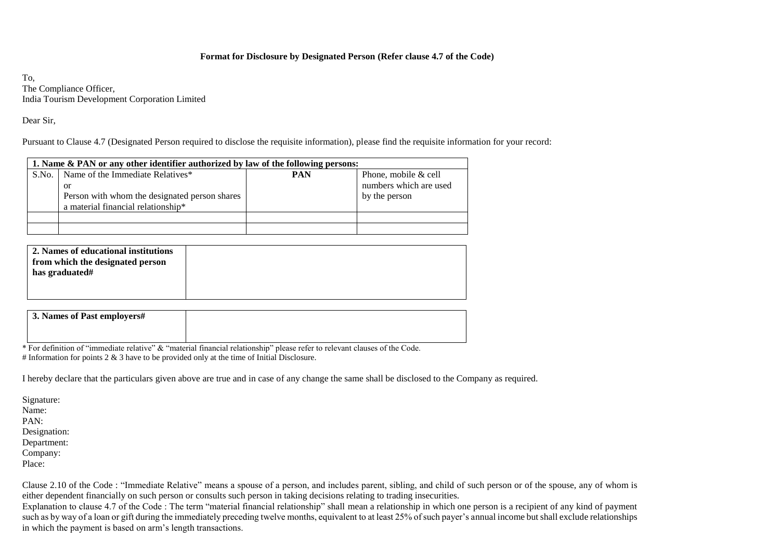#### **Format for Disclosure by Designated Person (Refer clause 4.7 of the Code)**

To, The Compliance Officer, India Tourism Development Corporation Limited

Dear Sir,

Pursuant to Clause 4.7 (Designated Person required to disclose the requisite information), please find the requisite information for your record:

|       | 1. Name & PAN or any other identifier authorized by law of the following persons:                                             |            |                                                                 |  |  |  |  |  |
|-------|-------------------------------------------------------------------------------------------------------------------------------|------------|-----------------------------------------------------------------|--|--|--|--|--|
| S.No. | Name of the Immediate Relatives*<br>or<br>Person with whom the designated person shares<br>a material financial relationship* | <b>PAN</b> | Phone, mobile & cell<br>numbers which are used<br>by the person |  |  |  |  |  |
|       |                                                                                                                               |            |                                                                 |  |  |  |  |  |
|       |                                                                                                                               |            |                                                                 |  |  |  |  |  |

| 2. Names of educational institutions<br>from which the designated person<br>has graduated# |  |
|--------------------------------------------------------------------------------------------|--|
|                                                                                            |  |

| 3. Names of Past employers# |  |
|-----------------------------|--|
|                             |  |

\* For definition of "immediate relative" & "material financial relationship" please refer to relevant clauses of the Code. # Information for points  $2 \& 3$  have to be provided only at the time of Initial Disclosure.

I hereby declare that the particulars given above are true and in case of any change the same shall be disclosed to the Company as required.

Signature: Name: PAN: Designation: Department: Company: Place:

Clause 2.10 of the Code : "Immediate Relative" means a spouse of a person, and includes parent, sibling, and child of such person or of the spouse, any of whom is either dependent financially on such person or consults such person in taking decisions relating to trading insecurities.

Explanation to clause 4.7 of the Code : The term "material financial relationship" shall mean a relationship in which one person is a recipient of any kind of payment such as by way of a loan or gift during the immediately preceding twelve months, equivalent to at least 25% of such payer's annual income but shall exclude relationships in which the payment is based on arm's length transactions.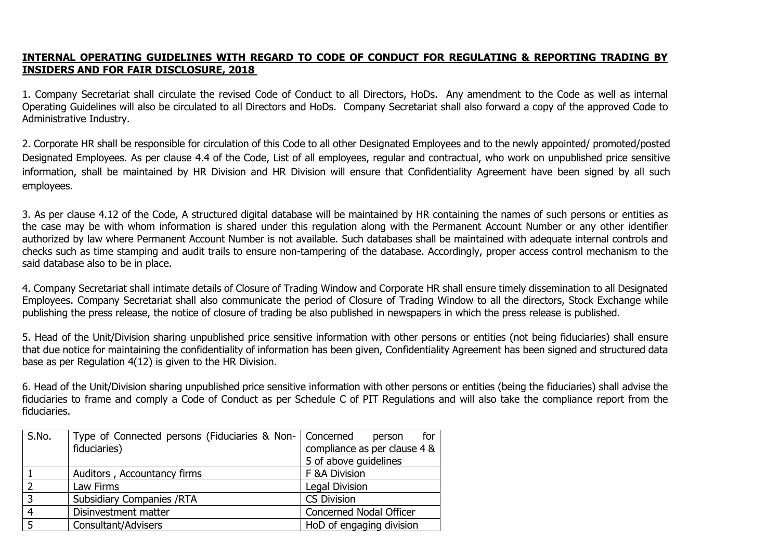## **INTERNAL OPERATING GUIDELINES WITH REGARD TO CODE OF CONDUCT FOR REGULATING & REPORTING TRADING BY INSIDERS AND FOR FAIR DISCLOSURE, 2018**

1. Company Secretariat shall circulate the revised Code of Conduct to all Directors, HoDs. Any amendment to the Code as well as internal Operating Guidelines will also be circulated to all Directors and HoDs. Company Secretariat shall also forward a copy of the approved Code to Administrative Industry.

2. Corporate HR shall be responsible for circulation of this Code to all other Designated Employees and to the newly appointed/ promoted/posted Designated Employees. As per clause 4.4 of the Code, List of all employees, regular and contractual, who work on unpublished price sensitive information, shall be maintained by HR Division and HR Division will ensure that Confidentiality Agreement have been signed by all such employees.

3. As per clause 4.12 of the Code, A structured digital database will be maintained by HR containing the names of such persons or entities as the case may be with whom information is shared under this regulation along with the Permanent Account Number or any other identifier authorized by law where Permanent Account Number is not available. Such databases shall be maintained with adequate internal controls and checks such as time stamping and audit trails to ensure non-tampering of the database. Accordingly, proper access control mechanism to the said database also to be in place.

4. Company Secretariat shall intimate details of Closure of Trading Window and Corporate HR shall ensure timely dissemination to all Designated Employees. Company Secretariat shall also communicate the period of Closure of Trading Window to all the directors, Stock Exchange while publishing the press release, the notice of closure of trading be also published in newspapers in which the press release is published.

5. Head of the Unit/Division sharing unpublished price sensitive information with other persons or entities (not being fiduciaries) shall ensure that due notice for maintaining the confidentiality of information has been given, Confidentiality Agreement has been signed and structured data base as per Regulation 4(12) is given to the HR Division.

6. Head of the Unit/Division sharing unpublished price sensitive information with other persons or entities (being the fiduciaries) shall advise the fiduciaries to frame and comply a Code of Conduct as per Schedule C of PIT Regulations and will also take the compliance report from the fiduciaries.

| S.No. | Type of Connected persons (Fiduciaries & Non-   Concerned | for<br>person                |
|-------|-----------------------------------------------------------|------------------------------|
|       | fiduciaries)                                              | compliance as per clause 4 & |
|       |                                                           | 5 of above guidelines        |
|       | Auditors, Accountancy firms                               | F & A Division               |
|       | Law Firms                                                 | Legal Division               |
| 3     | <b>Subsidiary Companies /RTA</b>                          | <b>CS Division</b>           |
|       | Disinvestment matter                                      | Concerned Nodal Officer      |
|       | Consultant/Advisers                                       | HoD of engaging division     |